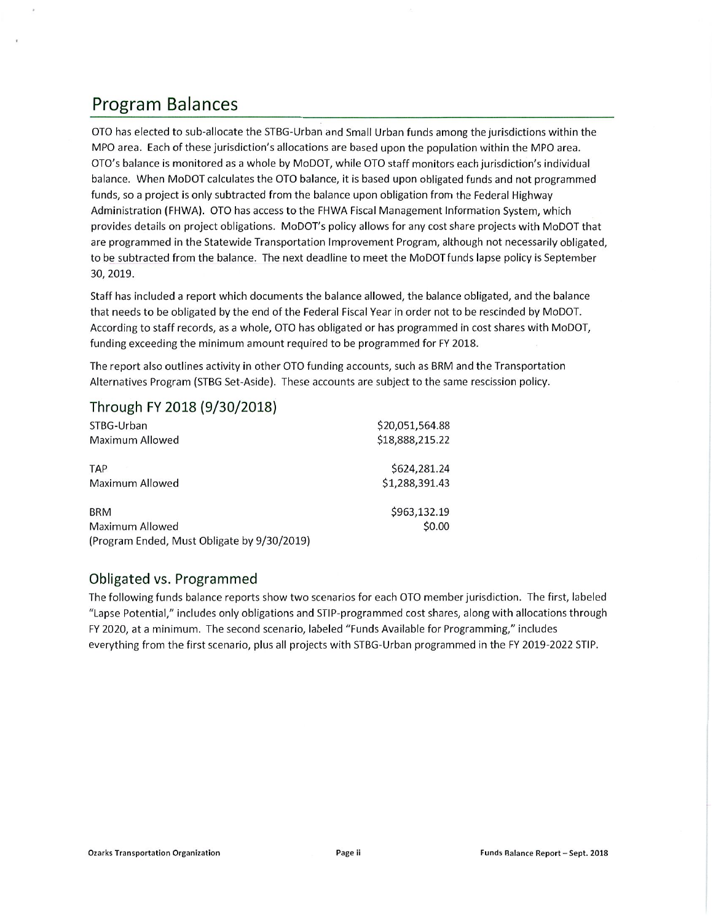## Program Balances

OTO has elected to sub-allocate the STBG-Urban and Small Urban funds among the jurisdictions within the MPO area. Each of these jurisdiction's allocations are based upon the population within the MPO area. OTO's balance is monitored as <sup>a</sup> whole by MoDOT, while OTO staff monitors eachjurisdiction's individual balance. When MoDOT calculates the OTO balance, it is based upon obligated funds and not programmed funds, so a project is only subtracted from the balance upon obligation from the Federal Highway Administration (FHWA). OTO has access to the FHWA Fiscal Management Information System, which provides details on project obligations. MoDOT's policy allows for any cost share projects with MoDOT that are programmed in the Statewide Transportation Improvement Program, aithough not necessarily obligated, to be subtracted from the balance. The next deadline to meet the MoDOT funds lapse policy is September 30,2019.

Staff has included a report which documents the balance allowed, the balance obligated, and the balance that needs to be obiigated by the end of the Federal Fiscal Year in order not to be rescinded by MoDOT. According to staff records, as <sup>a</sup> whole, OTO has obligated or has programmed in cost shares with MoDOT, funding exceeding the minimum amount required to be programmed for FY 2018.

The report also outlines activity in other OTO funding accounts, such as BRM and the Transportation Alternatives Program (STBG Set-Aside). These accounts are subject to the same rescission policy.

### Through FY 2018 (9/30/2018)

| STBG-Urban                                  | \$20,051,564.88 |
|---------------------------------------------|-----------------|
| Maximum Allowed                             | \$18,888,215.22 |
| <b>TAP</b>                                  | \$624,281.24    |
| Maximum Allowed                             | \$1,288,391.43  |
| <b>BRM</b>                                  | \$963,132.19    |
| Maximum Allowed                             | \$0.00          |
| (Program Ended, Must Obligate by 9/30/2019) |                 |

#### Obligated vs. Programmed

The following funds balance reports show two scenarios for each OTO member jurisdiction. The first, labeled "Lapse Potential," includes only obligations and STIP-programmed cost shares, along with allocations through FY 2020, at <sup>a</sup> minimum. The second scenario, labeled "Funds Available for Programming," includes everything from the first scenario, plus all projects with STBG-Urban programmed in the FY 2019-2022 STIP.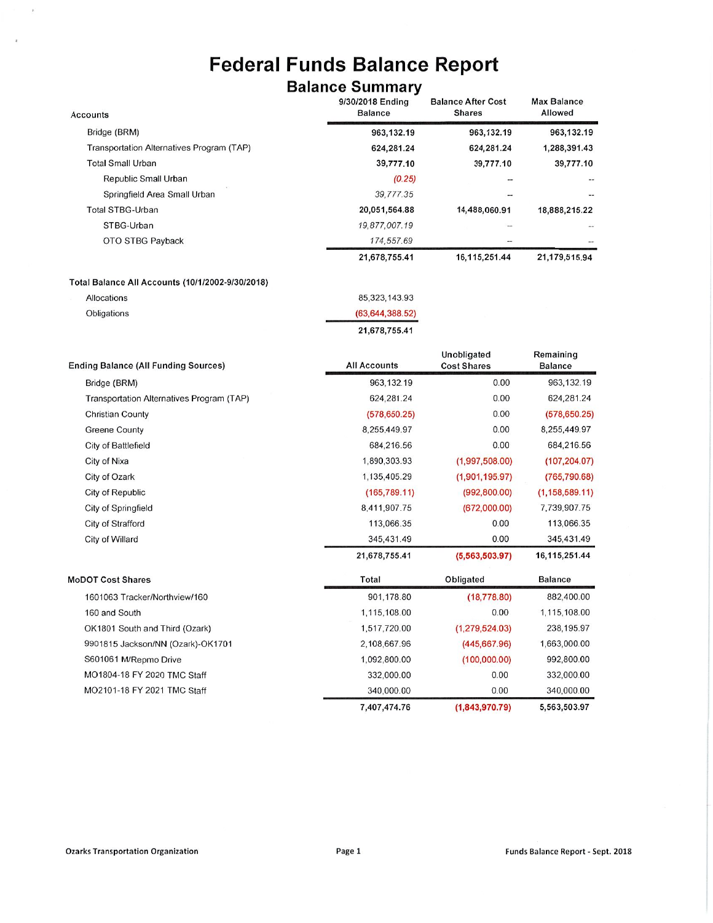# Federal Funds Balance Report

## Balance Summary

| <b>Accounts</b>                                  | "<br>9/30/2018 Ending<br><b>Balance</b> | <b>Balance After Cost</b><br><b>Shares</b> | <b>Max Balance</b><br>Allowed |
|--------------------------------------------------|-----------------------------------------|--------------------------------------------|-------------------------------|
| Bridge (BRM)                                     | 963,132.19                              | 963,132.19                                 | 963,132.19                    |
| Transportation Alternatives Program (TAP)        | 624,281.24                              | 624,281.24                                 | 1,288,391.43                  |
| <b>Total Small Urban</b>                         | 39,777.10                               | 39,777.10                                  | 39,777.10                     |
| Republic Small Urban                             | (0.25)                                  |                                            |                               |
| Springfield Area Small Urban                     | 39,777.35                               |                                            |                               |
| <b>Total STBG-Urban</b>                          | 20,051,564.88                           | 14,488,060.91                              | 18,888,215.22                 |
| STBG-Urban                                       | 19,877,007.19                           |                                            |                               |
| OTO STBG Payback                                 | 174,557.69                              |                                            |                               |
|                                                  | 21,678,755.41                           | 16, 115, 251.44                            | 21,179,515.94                 |
| Total Balance All Accounts (10/1/2002-9/30/2018) |                                         |                                            |                               |
| Allocations                                      | 85, 323, 143.93                         |                                            |                               |
| Obligations                                      | (63, 644, 388.52)                       |                                            |                               |
|                                                  | 21,678,755.41                           |                                            |                               |
| <b>Ending Balance (All Funding Sources)</b>      | <b>All Accounts</b>                     | Unobligated<br><b>Cost Shares</b>          | Remaining<br><b>Balance</b>   |
| Bridge (BRM)                                     | 963, 132.19                             | 0.00                                       | 963,132.19                    |
| Transportation Alternatives Program (TAP)        | 624,281.24                              | 0.00                                       | 624,281.24                    |
| <b>Christian County</b>                          | (578, 650.25)                           | 0.00                                       | (578, 650.25)                 |
| <b>Greene County</b>                             | 8,255,449.97                            | 0.00                                       | 8,255,449.97                  |
| City of Battlefield                              | 684,216.56                              | 0.00                                       | 684,216.56                    |
| City of Nixa                                     | 1,890,303.93                            | (1,997,508.00)                             | (107, 204.07)                 |
| City of Ozark                                    | 1,135,405.29                            | (1,901,195.97)                             | (765, 790.68)                 |
| City of Republic                                 | (165, 789.11)                           | (992, 800.00)                              | (1, 158, 589.11)              |
| City of Springfield                              | 8,411,907.75                            | (672,000.00)                               | 7,739,907.75                  |
| City of Strafford                                | 113,066.35                              | 0.00                                       | 113,066.35                    |
| City of Willard                                  | 345,431.49                              | 0.00                                       | 345,431.49                    |
|                                                  | 21,678,755.41                           | (5, 563, 503.97)                           | 16,115,251.44                 |
| <b>MoDOT Cost Shares</b>                         | Total                                   | Obligated                                  | <b>Balance</b>                |
| 1601063 Tracker/Northview/160                    | 901,178.80                              | (18, 778.80)                               | 882,400.00                    |
| 160 and South                                    | 1,115,108.00                            | 0.00                                       | 1,115,108.00                  |
| OK1801 South and Third (Ozark)                   | 1,517,720.00                            | (1, 279, 524.03)                           | 238,195.97                    |
| 9901815 Jackson/NN (Ozark)-OK1701                | 2,108,667.96                            | (445, 667.96)                              | 1,663,000.00                  |
| S601061 M/Repmo Drive                            | 1,092,800.00                            | (100,000.00)                               | 992,800.00                    |
| MO1804-18 FY 2020 TMC Staff                      | 332,000.00                              | 0.00                                       | 332,000.00                    |
| MO2101-18 FY 2021 TMC Staff                      | 340,000.00                              | 0.00                                       | 340,000.00                    |

 $\bar{r}$ 

 $\bar{z}$ 

7,407,474.76 (1,843,970.79) 5.563.503.97